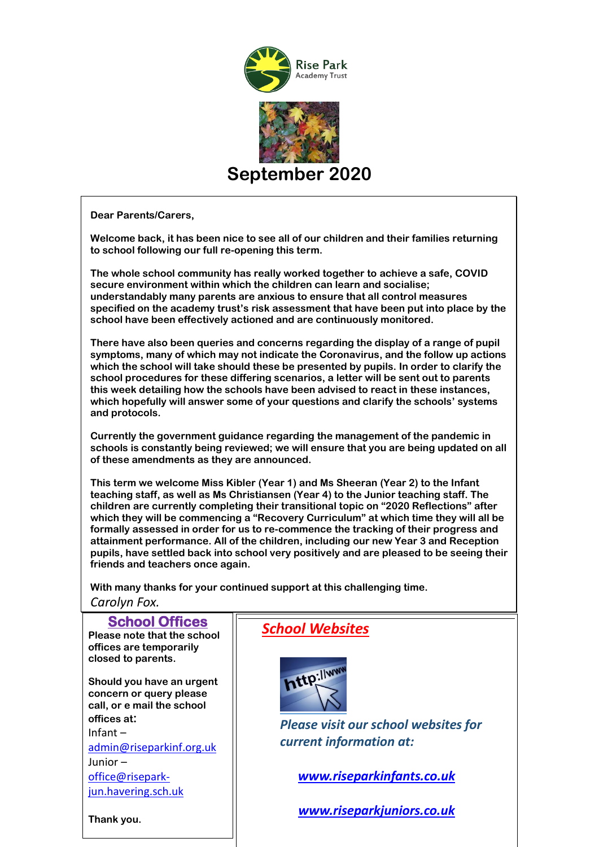

**Dear Parents/Carers,**

**Welcome back, it has been nice to see all of our children and their families returning to school following our full re-opening this term.**

**The whole school community has really worked together to achieve a safe, COVID secure environment within which the children can learn and socialise; understandably many parents are anxious to ensure that all control measures specified on the academy trust's risk assessment that have been put into place by the school have been effectively actioned and are continuously monitored.** 

**There have also been queries and concerns regarding the display of a range of pupil symptoms, many of which may not indicate the Coronavirus, and the follow up actions which the school will take should these be presented by pupils. In order to clarify the school procedures for these differing scenarios, a letter will be sent out to parents this week detailing how the schools have been advised to react in these instances, which hopefully will answer some of your questions and clarify the schools' systems and protocols.**

**Currently the government guidance regarding the management of the pandemic in schools is constantly being reviewed; we will ensure that you are being updated on all of these amendments as they are announced.**

**This term we welcome Miss Kibler (Year 1) and Ms Sheeran (Year 2) to the Infant teaching staff, as well as Ms Christiansen (Year 4) to the Junior teaching staff. The children are currently completing their transitional topic on "2020 Reflections" after which they will be commencing a "Recovery Curriculum" at which time they will all be formally assessed in order for us to re-commence the tracking of their progress and attainment performance. All of the children, including our new Year 3 and Reception pupils, have settled back into school very positively and are pleased to be seeing their friends and teachers once again.**

**With many thanks for your continued support at this challenging time.**

*Carolyn Fox.* 

| <b>School Offices</b><br>Please note that the school<br>offices are temporarily<br>closed to parents.                                       | <b>School Websites</b>                                                                |
|---------------------------------------------------------------------------------------------------------------------------------------------|---------------------------------------------------------------------------------------|
| Should you have an urgent<br>concern or query please<br>call, or e mail the school<br>offices at:<br>$Infant -$<br>admin@riseparkinf.org.uk | http://www.<br><b>Please visit our school websites for</b><br>current information at: |
| Junior $-$<br>office@risepark-<br>jun.havering.sch.uk                                                                                       | www.riseparkinfants.co.uk                                                             |
| Thank you.                                                                                                                                  | www.riseparkjuniors.co.uk                                                             |